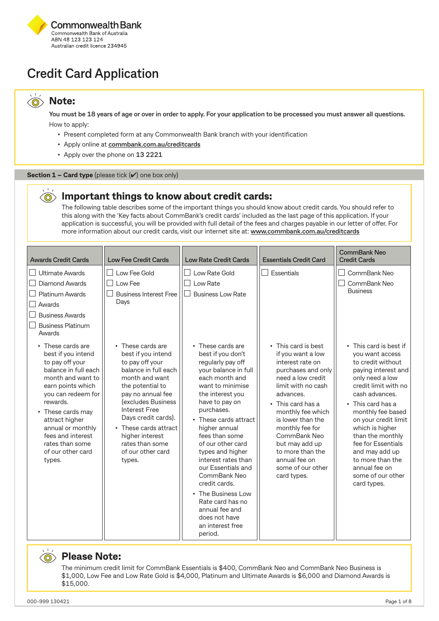

## **Credit Card Application**

#### **Note:**   $\widehat{\circ}$

 $\bigcirc$ 

**You must be 18 years of age or over in order to apply. For your application to be processed you must answer all questions.** How to apply:

- Present completed form at any Commonwealth Bank branch with your identification
- Apply online at **[commbank.com.au/creditcards](https://www.commbank.com.au/credit-cards.html)**
- Apply over the phone on **13 2221**

#### Section 1 – Card type (please tick  $(V)$  one box only)

### **Important things to know about credit cards:**

The following table describes some of the important things you should know about credit cards. You should refer to this along with the 'Key facts about CommBank's credit cards' included as the last page of this application. If your application is successful, you will be provided with full detail of the fees and charges payable in our letter of offer. For more information about our credit cards, visit our internet site at: **www.commbank.com.au/creditcards**

| <b>Awards Credit Cards</b>                                                                                                                                                                                                                                                   | <b>Low Fee Credit Cards</b>                                                                                                                                                                                                                                                                                      | <b>Low Rate Credit Cards</b>                                                                                                                                                                                                                                                                                                                                                                                                                            | <b>Essentials Credit Card</b>                                                                                                                                                                                                                                                               | <b>CommBank Neo</b><br><b>Credit Cards</b>                                                                                                                                                                                                                                                                                      |
|------------------------------------------------------------------------------------------------------------------------------------------------------------------------------------------------------------------------------------------------------------------------------|------------------------------------------------------------------------------------------------------------------------------------------------------------------------------------------------------------------------------------------------------------------------------------------------------------------|---------------------------------------------------------------------------------------------------------------------------------------------------------------------------------------------------------------------------------------------------------------------------------------------------------------------------------------------------------------------------------------------------------------------------------------------------------|---------------------------------------------------------------------------------------------------------------------------------------------------------------------------------------------------------------------------------------------------------------------------------------------|---------------------------------------------------------------------------------------------------------------------------------------------------------------------------------------------------------------------------------------------------------------------------------------------------------------------------------|
| Ultimate Awards<br>Diamond Awards<br><b>Platinum Awards</b><br>Awards<br><b>Business Awards</b><br><b>Business Platinum</b><br>Awards<br>• These cards are                                                                                                                   | Low Fee Gold<br>Low Fee<br><b>Business Interest Free</b><br>Days<br>• These cards are                                                                                                                                                                                                                            | Low Rate Gold<br>Low Rate<br><b>Business Low Rate</b><br>• These cards are                                                                                                                                                                                                                                                                                                                                                                              | Essentials<br>• This card is best<br>if you want a low                                                                                                                                                                                                                                      | CommBank Neo<br>CommBank Neo<br><b>Business</b><br>• This card is best if<br>you want access                                                                                                                                                                                                                                    |
| best if you intend<br>to pay off your<br>balance in full each<br>month and want to<br>earn points which<br>you can redeem for<br>rewards.<br>• These cards may<br>attract higher<br>annual or monthly<br>fees and interest<br>rates than some<br>of our other card<br>types. | best if you intend<br>to pay off your<br>balance in full each<br>month and want<br>the potential to<br>pay no annual fee<br><i><u><b>(excludes Business</b></u></i><br><b>Interest Free</b><br>Days credit cards).<br>• These cards attract<br>higher interest<br>rates than some<br>of our other card<br>types. | best if you don't<br>regularly pay off<br>your balance in full<br>each month and<br>want to minimise<br>the interest you<br>have to pay on<br>purchases.<br>• These cards attract<br>higher annual<br>fees than some<br>of our other card<br>types and higher<br>interest rates than<br>our Essentials and<br>CommBank Neo<br>credit cards.<br>• The Business Low<br>Rate card has no<br>annual fee and<br>does not have<br>an interest free<br>period. | interest rate on<br>purchases and only<br>need a low credit<br>limit with no cash<br>advances.<br>• This card has a<br>monthly fee which<br>is lower than the<br>monthly fee for<br>CommBank Neo<br>but may add up<br>to more than the<br>annual fee on<br>some of our other<br>card types. | to credit without<br>paying interest and<br>only need a low<br>credit limit with no<br>cash advances.<br>• This card has a<br>monthly fee based<br>on your credit limit<br>which is higher<br>than the monthly<br>fee for Essentials<br>and may add up<br>to more than the<br>annual fee on<br>some of our other<br>card types. |

### **Please Note:**

The minimum credit limit for CommBank Essentials is \$400, CommBank Neo and CommBank Neo Business is \$1,000, Low Fee and Low Rate Gold is \$4,000, Platinum and Ultimate Awards is \$6,000 and Diamond Awards is \$15,000.

 $\bigcirc$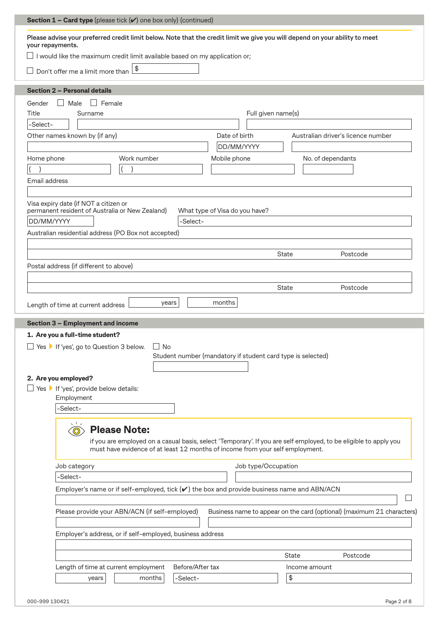| <b>Section 1 - Card type</b> (please tick $(v)$ one box only) (continued)                                                                                                                                                                                                                            |               |                                                                                               |                                                             |                                |                     |                     |                   |                                                                                                                  |  |
|------------------------------------------------------------------------------------------------------------------------------------------------------------------------------------------------------------------------------------------------------------------------------------------------------|---------------|-----------------------------------------------------------------------------------------------|-------------------------------------------------------------|--------------------------------|---------------------|---------------------|-------------------|------------------------------------------------------------------------------------------------------------------|--|
| Please advise your preferred credit limit below. Note that the credit limit we give you will depend on your ability to meet                                                                                                                                                                          |               |                                                                                               |                                                             |                                |                     |                     |                   |                                                                                                                  |  |
| your repayments.                                                                                                                                                                                                                                                                                     |               |                                                                                               |                                                             |                                |                     |                     |                   |                                                                                                                  |  |
| I would like the maximum credit limit available based on my application or;                                                                                                                                                                                                                          |               |                                                                                               |                                                             |                                |                     |                     |                   |                                                                                                                  |  |
| Don't offer me a limit more than                                                                                                                                                                                                                                                                     |               | $\frac{1}{2}$                                                                                 |                                                             |                                |                     |                     |                   |                                                                                                                  |  |
| <b>Section 2 - Personal details</b>                                                                                                                                                                                                                                                                  |               |                                                                                               |                                                             |                                |                     |                     |                   |                                                                                                                  |  |
| $\Box$ Male<br>Gender                                                                                                                                                                                                                                                                                | $\Box$ Female |                                                                                               |                                                             |                                |                     |                     |                   |                                                                                                                  |  |
| Title                                                                                                                                                                                                                                                                                                | Surname       |                                                                                               |                                                             |                                | Full given name(s)  |                     |                   |                                                                                                                  |  |
| -Select-                                                                                                                                                                                                                                                                                             |               |                                                                                               |                                                             |                                |                     |                     |                   |                                                                                                                  |  |
| Other names known by (if any)                                                                                                                                                                                                                                                                        |               |                                                                                               |                                                             | Date of birth                  |                     |                     |                   | Australian driver's licence number                                                                               |  |
|                                                                                                                                                                                                                                                                                                      |               |                                                                                               |                                                             | DD/MM/YYYY                     |                     |                     |                   |                                                                                                                  |  |
| Home phone                                                                                                                                                                                                                                                                                           |               | Work number                                                                                   |                                                             | Mobile phone                   |                     |                     | No. of dependants |                                                                                                                  |  |
|                                                                                                                                                                                                                                                                                                      |               |                                                                                               |                                                             |                                |                     |                     |                   |                                                                                                                  |  |
| Email address                                                                                                                                                                                                                                                                                        |               |                                                                                               |                                                             |                                |                     |                     |                   |                                                                                                                  |  |
|                                                                                                                                                                                                                                                                                                      |               |                                                                                               |                                                             |                                |                     |                     |                   |                                                                                                                  |  |
| Visa expiry date (if NOT a citizen or                                                                                                                                                                                                                                                                |               |                                                                                               |                                                             |                                |                     |                     |                   |                                                                                                                  |  |
| permanent resident of Australia or New Zealand)                                                                                                                                                                                                                                                      |               |                                                                                               |                                                             | What type of Visa do you have? |                     |                     |                   |                                                                                                                  |  |
| DD/MM/YYYY                                                                                                                                                                                                                                                                                           |               |                                                                                               | -Select-                                                    |                                |                     |                     |                   |                                                                                                                  |  |
| Australian residential address (PO Box not accepted)                                                                                                                                                                                                                                                 |               |                                                                                               |                                                             |                                |                     |                     |                   |                                                                                                                  |  |
|                                                                                                                                                                                                                                                                                                      |               |                                                                                               |                                                             |                                |                     |                     |                   |                                                                                                                  |  |
|                                                                                                                                                                                                                                                                                                      |               |                                                                                               |                                                             |                                |                     | State               |                   | Postcode                                                                                                         |  |
|                                                                                                                                                                                                                                                                                                      |               |                                                                                               |                                                             |                                |                     |                     |                   |                                                                                                                  |  |
|                                                                                                                                                                                                                                                                                                      |               |                                                                                               |                                                             |                                |                     |                     |                   |                                                                                                                  |  |
|                                                                                                                                                                                                                                                                                                      |               |                                                                                               |                                                             |                                |                     |                     |                   |                                                                                                                  |  |
|                                                                                                                                                                                                                                                                                                      |               |                                                                                               |                                                             |                                |                     | <b>State</b>        |                   | Postcode                                                                                                         |  |
|                                                                                                                                                                                                                                                                                                      |               |                                                                                               |                                                             |                                |                     |                     |                   |                                                                                                                  |  |
|                                                                                                                                                                                                                                                                                                      |               |                                                                                               | years                                                       | months                         |                     |                     |                   |                                                                                                                  |  |
|                                                                                                                                                                                                                                                                                                      |               |                                                                                               |                                                             |                                |                     |                     |                   |                                                                                                                  |  |
|                                                                                                                                                                                                                                                                                                      |               |                                                                                               |                                                             |                                |                     |                     |                   |                                                                                                                  |  |
|                                                                                                                                                                                                                                                                                                      |               |                                                                                               |                                                             |                                |                     |                     |                   |                                                                                                                  |  |
|                                                                                                                                                                                                                                                                                                      |               |                                                                                               | $\Box$ No                                                   |                                |                     |                     |                   |                                                                                                                  |  |
|                                                                                                                                                                                                                                                                                                      |               |                                                                                               | Student number (mandatory if student card type is selected) |                                |                     |                     |                   |                                                                                                                  |  |
|                                                                                                                                                                                                                                                                                                      |               |                                                                                               |                                                             |                                |                     |                     |                   |                                                                                                                  |  |
|                                                                                                                                                                                                                                                                                                      |               |                                                                                               |                                                             |                                |                     |                     |                   |                                                                                                                  |  |
|                                                                                                                                                                                                                                                                                                      |               |                                                                                               |                                                             |                                |                     |                     |                   |                                                                                                                  |  |
| Employment                                                                                                                                                                                                                                                                                           |               |                                                                                               |                                                             |                                |                     |                     |                   |                                                                                                                  |  |
| -Select-                                                                                                                                                                                                                                                                                             |               |                                                                                               |                                                             |                                |                     |                     |                   |                                                                                                                  |  |
|                                                                                                                                                                                                                                                                                                      |               |                                                                                               |                                                             |                                |                     |                     |                   |                                                                                                                  |  |
| $\odot$                                                                                                                                                                                                                                                                                              |               | <b>Please Note:</b>                                                                           |                                                             |                                |                     |                     |                   |                                                                                                                  |  |
|                                                                                                                                                                                                                                                                                                      |               |                                                                                               |                                                             |                                |                     |                     |                   | if you are employed on a casual basis, select 'Temporary'. If you are self employed, to be eligible to apply you |  |
|                                                                                                                                                                                                                                                                                                      |               | must have evidence of at least 12 months of income from your self employment.                 |                                                             |                                |                     |                     |                   |                                                                                                                  |  |
|                                                                                                                                                                                                                                                                                                      |               |                                                                                               |                                                             |                                |                     |                     |                   |                                                                                                                  |  |
| Job category                                                                                                                                                                                                                                                                                         |               |                                                                                               |                                                             |                                | Job type/Occupation |                     |                   |                                                                                                                  |  |
| -Select-                                                                                                                                                                                                                                                                                             |               |                                                                                               |                                                             |                                |                     |                     |                   |                                                                                                                  |  |
|                                                                                                                                                                                                                                                                                                      |               | Employer's name or if self-employed, tick $(v)$ the box and provide business name and ABN/ACN |                                                             |                                |                     |                     |                   |                                                                                                                  |  |
|                                                                                                                                                                                                                                                                                                      |               |                                                                                               |                                                             |                                |                     |                     |                   |                                                                                                                  |  |
|                                                                                                                                                                                                                                                                                                      |               | Please provide your ABN/ACN (if self-employed)                                                |                                                             |                                |                     |                     |                   | Business name to appear on the card (optional) (maximum 21 characters)                                           |  |
|                                                                                                                                                                                                                                                                                                      |               |                                                                                               |                                                             |                                |                     |                     |                   |                                                                                                                  |  |
|                                                                                                                                                                                                                                                                                                      |               |                                                                                               |                                                             |                                |                     |                     |                   |                                                                                                                  |  |
|                                                                                                                                                                                                                                                                                                      |               | Employer's address, or if self-employed, business address                                     |                                                             |                                |                     |                     |                   |                                                                                                                  |  |
| Postal address (if different to above)<br>Length of time at current address<br><b>Section 3 - Employment and income</b><br>1. Are you a full-time student?<br>□ Yes ▶ If 'yes', go to Question 3 below.<br>2. Are you employed?<br>$\Box$ Yes $\blacktriangleright$ If 'yes', provide below details: |               |                                                                                               |                                                             |                                |                     |                     |                   |                                                                                                                  |  |
|                                                                                                                                                                                                                                                                                                      |               |                                                                                               |                                                             |                                |                     | <b>State</b>        |                   | Postcode                                                                                                         |  |
|                                                                                                                                                                                                                                                                                                      | years         | Length of time at current employment<br>months                                                | Before/After tax<br>-Select-                                |                                |                     | Income amount<br>\$ |                   |                                                                                                                  |  |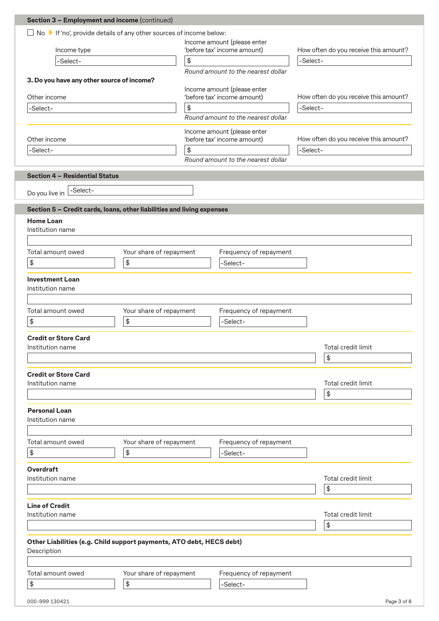| <b>Section 3 - Employment and income (continued)</b>                                                                             |                               |            |                                    |          |                                           |  |  |
|----------------------------------------------------------------------------------------------------------------------------------|-------------------------------|------------|------------------------------------|----------|-------------------------------------------|--|--|
| $\Box$ No $\blacktriangleright$ If 'no', provide details of any other sources of income below:                                   |                               |            |                                    |          |                                           |  |  |
|                                                                                                                                  |                               |            | Income amount (please enter        |          |                                           |  |  |
| Income type                                                                                                                      |                               |            | 'before tax' income amount)        | -Select- | How often do you receive this amount?     |  |  |
| -Select-                                                                                                                         |                               |            | \$                                 |          |                                           |  |  |
| 3. Do you have any other source of income?                                                                                       |                               |            | Round amount to the nearest dollar |          |                                           |  |  |
|                                                                                                                                  |                               |            | Income amount (please enter        |          |                                           |  |  |
| Other income                                                                                                                     |                               |            | 'before tax' income amount)        |          | How often do you receive this amount?     |  |  |
| -Select-                                                                                                                         |                               | $\,$       |                                    | -Select- |                                           |  |  |
|                                                                                                                                  |                               |            | Round amount to the nearest dollar |          |                                           |  |  |
|                                                                                                                                  |                               |            | Income amount (please enter        |          |                                           |  |  |
| Other income                                                                                                                     |                               |            | 'before tax' income amount)        |          | How often do you receive this amount?     |  |  |
| -Select-                                                                                                                         |                               | $\pmb{\$}$ | Round amount to the nearest dollar | -Select- |                                           |  |  |
|                                                                                                                                  |                               |            |                                    |          |                                           |  |  |
| <b>Section 4 - Residential Status</b>                                                                                            |                               |            |                                    |          |                                           |  |  |
| -Select-                                                                                                                         |                               |            |                                    |          |                                           |  |  |
| Do you live in                                                                                                                   |                               |            |                                    |          |                                           |  |  |
| Section 5 - Credit cards, loans, other liabilities and living expenses                                                           |                               |            |                                    |          |                                           |  |  |
| <b>Home Loan</b>                                                                                                                 |                               |            |                                    |          |                                           |  |  |
| Institution name                                                                                                                 |                               |            |                                    |          |                                           |  |  |
|                                                                                                                                  |                               |            |                                    |          |                                           |  |  |
| Total amount owed                                                                                                                | Your share of repayment       |            | Frequency of repayment             |          |                                           |  |  |
| \$                                                                                                                               | \$                            |            | -Select-                           |          |                                           |  |  |
| <b>Investment Loan</b>                                                                                                           |                               |            |                                    |          |                                           |  |  |
| Institution name                                                                                                                 |                               |            |                                    |          |                                           |  |  |
|                                                                                                                                  |                               |            |                                    |          |                                           |  |  |
| Total amount owed                                                                                                                | Your share of repayment       |            | Frequency of repayment             |          |                                           |  |  |
| \$                                                                                                                               | \$                            |            | -Select-                           |          |                                           |  |  |
| <b>Credit or Store Card</b>                                                                                                      |                               |            |                                    |          |                                           |  |  |
| Institution name                                                                                                                 |                               |            |                                    |          | Total credit limit                        |  |  |
|                                                                                                                                  |                               |            |                                    |          | $\, \, \raisebox{12pt}{$\scriptstyle \$}$ |  |  |
|                                                                                                                                  |                               |            |                                    |          |                                           |  |  |
| <b>Credit or Store Card</b>                                                                                                      |                               |            |                                    |          | Total credit limit                        |  |  |
| Institution name                                                                                                                 |                               |            |                                    |          |                                           |  |  |
|                                                                                                                                  |                               |            |                                    |          |                                           |  |  |
|                                                                                                                                  |                               |            |                                    |          | $\, \, \raisebox{12pt}{$\scriptstyle \$}$ |  |  |
|                                                                                                                                  |                               |            |                                    |          |                                           |  |  |
|                                                                                                                                  |                               |            |                                    |          |                                           |  |  |
|                                                                                                                                  |                               |            |                                    |          |                                           |  |  |
|                                                                                                                                  | Your share of repayment       |            | Frequency of repayment             |          |                                           |  |  |
| \$                                                                                                                               | $\pmb{\$}$                    |            | -Select-                           |          |                                           |  |  |
|                                                                                                                                  |                               |            |                                    |          |                                           |  |  |
|                                                                                                                                  |                               |            |                                    |          | Total credit limit                        |  |  |
| <b>Personal Loan</b><br>Institution name<br>Total amount owed<br><b>Overdraft</b><br>Institution name                            |                               |            |                                    |          | \$                                        |  |  |
|                                                                                                                                  |                               |            |                                    |          |                                           |  |  |
|                                                                                                                                  |                               |            |                                    |          |                                           |  |  |
|                                                                                                                                  |                               |            |                                    |          | Total credit limit                        |  |  |
|                                                                                                                                  |                               |            |                                    |          | \$                                        |  |  |
|                                                                                                                                  |                               |            |                                    |          |                                           |  |  |
|                                                                                                                                  |                               |            |                                    |          |                                           |  |  |
| <b>Line of Credit</b><br>Institution name<br>Other Liabilities (e.g. Child support payments, ATO debt, HECS debt)<br>Description |                               |            |                                    |          |                                           |  |  |
| Total amount owed<br>\$                                                                                                          | Your share of repayment<br>\$ |            | Frequency of repayment<br>-Select- |          |                                           |  |  |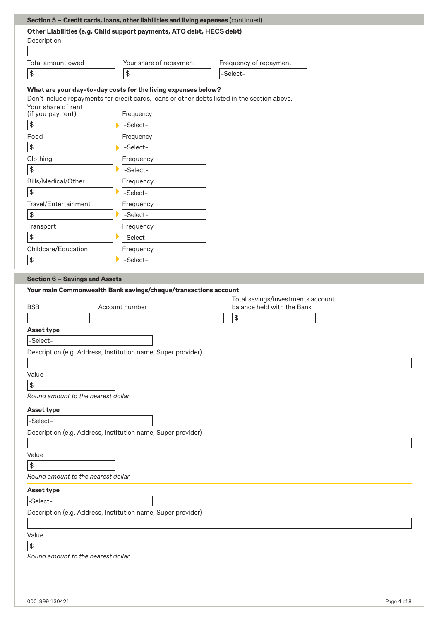|                                          | Other Liabilities (e.g. Child support payments, ATO debt, HECS debt)                                                                                          |                                                                       |
|------------------------------------------|---------------------------------------------------------------------------------------------------------------------------------------------------------------|-----------------------------------------------------------------------|
| Description                              |                                                                                                                                                               |                                                                       |
|                                          |                                                                                                                                                               |                                                                       |
| Total amount owed                        | Your share of repayment                                                                                                                                       | Frequency of repayment                                                |
| $\spadesuit$                             | \$                                                                                                                                                            | -Select-                                                              |
|                                          |                                                                                                                                                               |                                                                       |
|                                          | What are your day-to-day costs for the living expenses below?<br>Don't include repayments for credit cards, loans or other debts listed in the section above. |                                                                       |
| Your share of rent                       |                                                                                                                                                               |                                                                       |
| (if you pay rent)                        | Frequency                                                                                                                                                     |                                                                       |
| \$                                       | -Select-                                                                                                                                                      |                                                                       |
| Food                                     | Frequency                                                                                                                                                     |                                                                       |
| \$                                       | -Select-                                                                                                                                                      |                                                                       |
| Clothing                                 | Frequency                                                                                                                                                     |                                                                       |
| \$                                       | -Select-                                                                                                                                                      |                                                                       |
| Bills/Medical/Other                      | Frequency                                                                                                                                                     |                                                                       |
| \$                                       | -Select-                                                                                                                                                      |                                                                       |
| Travel/Entertainment                     | Frequency                                                                                                                                                     |                                                                       |
| \$                                       | -Select-                                                                                                                                                      |                                                                       |
| Transport                                | Frequency                                                                                                                                                     |                                                                       |
| \$                                       | -Select-                                                                                                                                                      |                                                                       |
| Childcare/Education                      | Frequency                                                                                                                                                     |                                                                       |
| \$                                       | -Select-                                                                                                                                                      |                                                                       |
|                                          | Your main Commonwealth Bank savings/cheque/transactions account<br>Account number                                                                             | Total savings/investments account<br>balance held with the Bank<br>\$ |
| <b>BSB</b><br><b>Asset type</b>          |                                                                                                                                                               |                                                                       |
| -Select-                                 |                                                                                                                                                               |                                                                       |
|                                          | Description (e.g. Address, Institution name, Super provider)                                                                                                  |                                                                       |
|                                          |                                                                                                                                                               |                                                                       |
| Value                                    |                                                                                                                                                               |                                                                       |
| \$                                       |                                                                                                                                                               |                                                                       |
| Round amount to the nearest dollar       |                                                                                                                                                               |                                                                       |
| <b>Asset type</b>                        |                                                                                                                                                               |                                                                       |
| -Select-                                 |                                                                                                                                                               |                                                                       |
|                                          | Description (e.g. Address, Institution name, Super provider)                                                                                                  |                                                                       |
|                                          |                                                                                                                                                               |                                                                       |
| Value                                    |                                                                                                                                                               |                                                                       |
| \$                                       |                                                                                                                                                               |                                                                       |
| Round amount to the nearest dollar       |                                                                                                                                                               |                                                                       |
| <b>Asset type</b>                        |                                                                                                                                                               |                                                                       |
| -Select-                                 |                                                                                                                                                               |                                                                       |
|                                          | Description (e.g. Address, Institution name, Super provider)                                                                                                  |                                                                       |
|                                          |                                                                                                                                                               |                                                                       |
| Value                                    |                                                                                                                                                               |                                                                       |
| \$<br>Round amount to the nearest dollar |                                                                                                                                                               |                                                                       |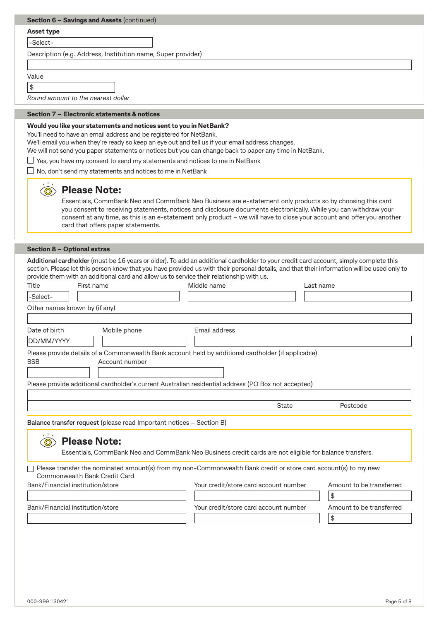| Section 6 - Savings and Assets (continued)                                               |                                                                                                                                                                                                                                                                                     |
|------------------------------------------------------------------------------------------|-------------------------------------------------------------------------------------------------------------------------------------------------------------------------------------------------------------------------------------------------------------------------------------|
|                                                                                          |                                                                                                                                                                                                                                                                                     |
| <b>Asset type</b>                                                                        |                                                                                                                                                                                                                                                                                     |
| -Select-                                                                                 |                                                                                                                                                                                                                                                                                     |
| Description (e.g. Address, Institution name, Super provider)                             |                                                                                                                                                                                                                                                                                     |
|                                                                                          |                                                                                                                                                                                                                                                                                     |
| Value                                                                                    |                                                                                                                                                                                                                                                                                     |
| \$<br>Round amount to the nearest dollar                                                 |                                                                                                                                                                                                                                                                                     |
|                                                                                          |                                                                                                                                                                                                                                                                                     |
| Section 7 - Electronic statements & notices                                              |                                                                                                                                                                                                                                                                                     |
| Would you like your statements and notices sent to you in NetBank?                       |                                                                                                                                                                                                                                                                                     |
| You'll need to have an email address and be registered for NetBank.                      | We'll email you when they're ready so keep an eye out and tell us if your email address changes.                                                                                                                                                                                    |
|                                                                                          | We will not send you paper statements or notices but you can change back to paper any time in NetBank.                                                                                                                                                                              |
| Yes, you have my consent to send my statements and notices to me in NetBank              |                                                                                                                                                                                                                                                                                     |
| No, don't send my statements and notices to me in NetBank                                |                                                                                                                                                                                                                                                                                     |
| <b>Please Note:</b>                                                                      |                                                                                                                                                                                                                                                                                     |
|                                                                                          | Essentials, CommBank Neo and CommBank Neo Business are e-statement only products so by choosing this card                                                                                                                                                                           |
|                                                                                          | you consent to receiving statements, notices and disclosure documents electronically. While you can withdraw your                                                                                                                                                                   |
|                                                                                          | consent at any time, as this is an e-statement only product - we will have to close your account and offer you another                                                                                                                                                              |
|                                                                                          |                                                                                                                                                                                                                                                                                     |
| card that offers paper statements.                                                       |                                                                                                                                                                                                                                                                                     |
|                                                                                          |                                                                                                                                                                                                                                                                                     |
| <b>Section 8 - Optional extras</b>                                                       |                                                                                                                                                                                                                                                                                     |
|                                                                                          | Additional cardholder (must be 16 years or older). To add an additional cardholder to your credit card account, simply complete this<br>section. Please let this person know that you have provided us with their personal details, and that their information will be used only to |
| provide them with an additional card and allow us to service their relationship with us. |                                                                                                                                                                                                                                                                                     |
| Title<br>First name                                                                      | Middle name<br>Last name                                                                                                                                                                                                                                                            |
| -Select-                                                                                 |                                                                                                                                                                                                                                                                                     |
| Other names known by (if any)                                                            |                                                                                                                                                                                                                                                                                     |
|                                                                                          |                                                                                                                                                                                                                                                                                     |
| Date of birth<br>Mobile phone                                                            | Email address                                                                                                                                                                                                                                                                       |
| DD/MM/YYYY                                                                               |                                                                                                                                                                                                                                                                                     |
| <b>BSB</b><br>Account number                                                             | Please provide details of a Commonwealth Bank account held by additional cardholder (if applicable)                                                                                                                                                                                 |
|                                                                                          |                                                                                                                                                                                                                                                                                     |
|                                                                                          | Please provide additional cardholder's current Australian residential address (PO Box not accepted)                                                                                                                                                                                 |
|                                                                                          |                                                                                                                                                                                                                                                                                     |
|                                                                                          | <b>State</b><br>Postcode                                                                                                                                                                                                                                                            |

 $\Box$  Please transfer the nominated amount(s) from my non-Commonwealth Bank credit or store card account(s) to my new Commonwealth Bank Credit Card

Bank/Financial institution/store extending your credit/store card account number Amount to be transferred

Bank/Financial institution/store The Your credit/store card account number Amount to be transferred

- 
- \$

\$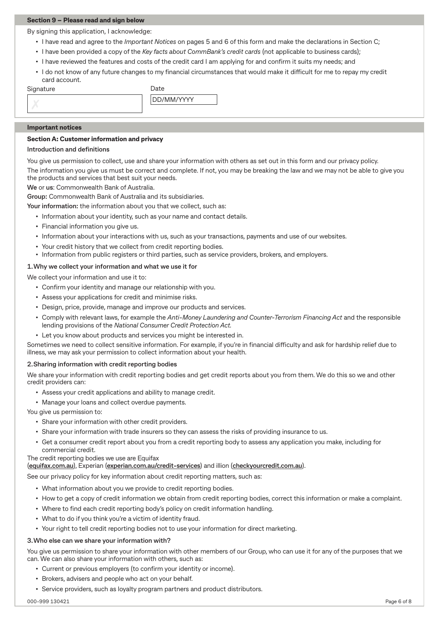#### **Section 9 – Please read and sign below**

By signing this application, I acknowledge:

- I have read and agree to the *Important Notices* on pages 5 and 6 of this form and make the declarations in Section C;
- I have been provided a copy of the *Key facts about CommBank's credit cards* (not applicable to business cards);
- I have reviewed the features and costs of the credit card I am applying for and confirm it suits my needs; and
- I do not know of any future changes to my financial circumstances that would make it difficult for me to repay my credit card account.

Signature

| Date       |  |
|------------|--|
| DD/MM/YYYY |  |
|            |  |

#### **Important notices**

#### **Section A: Customer information and privacy**

#### **Introduction and definitions**

You give us permission to collect, use and share your information with others as set out in this form and our privacy policy.

The information you give us must be correct and complete. If not, you may be breaking the law and we may not be able to give you the products and services that best suit your needs.

**We** or **us**: Commonwealth Bank of Australia.

**Group:** Commonwealth Bank of Australia and its subsidiaries.

**Your information:** the information about you that we collect, such as:

- Information about your identity, such as your name and contact details.
- Financial information you give us.
- Information about your interactions with us, such as your transactions, payments and use of our websites.
- Your credit history that we collect from credit reporting bodies.
- Information from public registers or third parties, such as service providers, brokers, and employers.

#### **1.Why we collect your information and what we use it for**

We collect your information and use it to:

- Confirm your identity and manage our relationship with you.
- Assess your applications for credit and minimise risks.
- Design, price, provide, manage and improve our products and services.
- Comply with relevant laws, for example the *Anti-Money Laundering and Counter-Terrorism Financing Act* and the responsible lending provisions of the *National Consumer Credit Protection Act.*
- Let you know about products and services you might be interested in.

Sometimes we need to collect sensitive information. For example, if you're in financial difficulty and ask for hardship relief due to illness, we may ask your permission to collect information about your health.

#### **2.Sharing information with credit reporting bodies**

We share your information with credit reporting bodies and get credit reports about you from them. We do this so we and other credit providers can:

- Assess your credit applications and ability to manage credit.
- Manage your loans and collect overdue payments.

You give us permission to:

- Share your information with other credit providers.
- Share your information with trade insurers so they can assess the risks of providing insurance to us.
- Get a consumer credit report about you from a credit reporting body to assess any application you make, including for commercial credit.

#### The credit reporting bodies we use are Equifax

#### (**equifax.com.au**), Experian (**experian.com.au/credit-services**) and illion (**checkyourcredit.com.au**).

See our privacy policy for key information about credit reporting matters, such as:

- What information about you we provide to credit reporting bodies.
- How to get a copy of credit information we obtain from credit reporting bodies, correct this information or make a complaint.
- Where to find each credit reporting body's policy on credit information handling.
- What to do if you think you're a victim of identity fraud.
- Your right to tell credit reporting bodies not to use your information for direct marketing.

#### **3.Who else can we share your information with?**

You give us permission to share your information with other members of our Group, who can use it for any of the purposes that we can. We can also share your information with others, such as:

- Current or previous employers (to confirm your identity or income).
- Brokers, advisers and people who act on your behalf.
- Service providers, such as loyalty program partners and product distributors.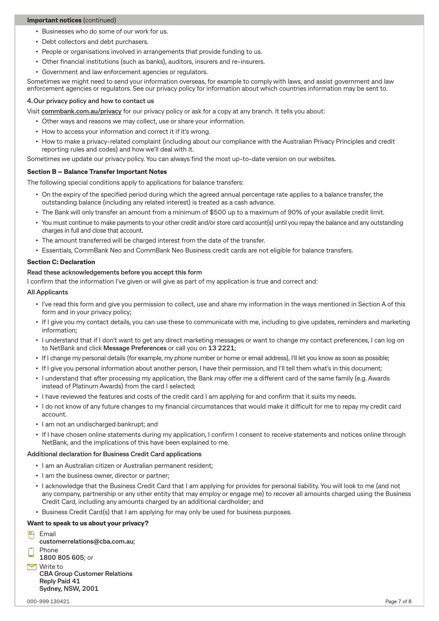#### **Important notices** (continued)

- Businesses who do some of our work for us.
- Debt collectors and debt purchasers.
- People or organisations involved in arrangements that provide funding to us.
- Other financial institutions (such as banks), auditors, insurers and re-insurers.
- Government and law enforcement agencies or regulators.

Sometimes we might need to send your information overseas, for example to comply with laws, and assist government and law enforcement agencies or regulators. See our privacy policy for information about which countries information may be sent to.

#### **4.Our privacy policy and how to contact us**

Visit **commbank.com.au/privacy** for our privacy policy or ask for a copy at any branch. It tells you about:

- Other ways and reasons we may collect, use or share your information.
- How to access your information and correct it if it's wrong.
- How to make a privacy-related complaint (including about our compliance with the Australian Privacy Principles and credit reporting rules and codes) and how we'll deal with it.

Sometimes we update our privacy policy. You can always find the most up-to-date version on our websites.

#### **Section B – Balance Transfer Important Notes**

The following special conditions apply to applications for balance transfers:

- On the expiry of the specified period during which the agreed annual percentage rate applies to a balance transfer, the outstanding balance (including any related interest) is treated as a cash advance.
- The Bank will only transfer an amount from a minimum of \$500 up to a maximum of 90% of your available credit limit.
- You must continue to make payments to your other credit and/or store card account(s) until you repay the balance and any outstanding charges in full and close that account.
- The amount transferred will be charged interest from the date of the transfer.
- Essentials, CommBank Neo and CommBank Neo Business credit cards are not eligible for balance transfers.

#### **Section C: Declaration**

#### **Read these acknowledgements before you accept this form**

I confirm that the information I've given or will give as part of my application is true and correct and:

#### **All Applicants**

- I've read this form and give you permission to collect, use and share my information in the ways mentioned in Section A of this form and in your privacy policy;
- If I give you my contact details, you can use these to communicate with me, including to give updates, reminders and marketing information;
- I understand that if I don't want to get any direct marketing messages or want to change my contact preferences, I can log on to NetBank and click **Message Preferences** or call you on **13 2221**;
- If I change my personal details (for example, my phone number or home or email address), I'll let you know as soon as possible;
- If I give you personal information about another person, I have their permission, and I'll tell them what's in this document;
- I understand that after processing my application, the Bank may offer me a different card of the same family (e.g. Awards instead of Platinum Awards) from the card I selected;
- I have reviewed the features and costs of the credit card I am applying for and confirm that it suits my needs.
- I do not know of any future changes to my financial circumstances that would make it difficult for me to repay my credit card account.
- I am not an undischarged bankrupt; and
- If I have chosen online statements during my application, I confirm I consent to receive statements and notices online through NetBank, and the implications of this have been explained to me.

#### **Additional declaration for Business Credit Card applications**

- I am an Australian citizen or Australian permanent resident;
- I am the business owner, director or partner;
- I acknowledge that the Business Credit Card that I am applying for provides for personal liability. You will look to me (and not any company, partnership or any other entity that may employ or engage me) to recover all amounts charged using the Business Credit Card, including any amounts charged by an additional cardholder; and
- Business Credit Card(s) that I am applying for may only be used for business purposes.

#### **Want to speak to us about your privacy?**

<sup>E</sup> Email

**customerrelations@cba.com.au**;

- Phone
- **1800 805 605**; or
- $\triangleright$  Write to **CBA Group Customer Relations Reply Paid 41 Sydney, NSW, 2001**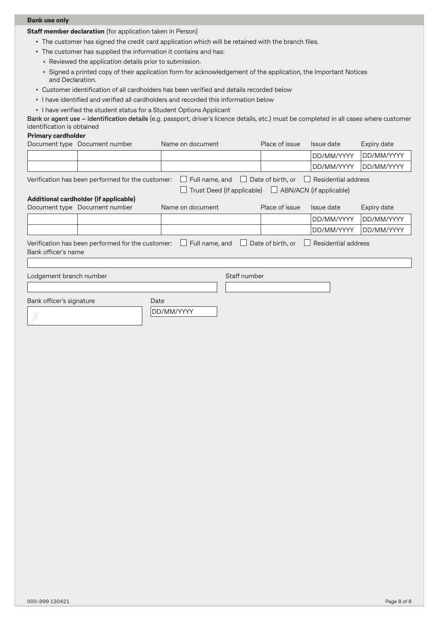#### **Bank use only**

**Staff member declaration** (for application taken in Person)

- The customer has signed the credit card application which will be retained with the branch files.
- The customer has supplied the information it contains and has:
	- Reviewed the application details prior to submission.
	- Signed a printed copy of their application form for acknowledgement of the application, the Important Notices and Declaration.
- Customer identification of all cardholders has been verified and details recorded below
- I have identified and verified all cardholders and recorded this information below
- I have verified the student status for a Student Options Applicant

**Bank or agent use – identification details** (e.g. passport, driver's licence details, etc.) must be completed in all cases where customer identification is obtained

#### **Primary cardholder**

|                          | Document type Document number                     | Name on document                                                        | Place of issue                                      | Issue date          | Expiry date |
|--------------------------|---------------------------------------------------|-------------------------------------------------------------------------|-----------------------------------------------------|---------------------|-------------|
|                          |                                                   |                                                                         |                                                     | DD/MM/YYYY          | DD/MM/YYYY  |
|                          |                                                   |                                                                         |                                                     | DD/MM/YYYY          | DD/MM/YYYY  |
|                          | Verification has been performed for the customer: | $\Box$ Full name, and                                                   | $\Box$ Date of birth, or $\Box$ Residential address |                     |             |
|                          |                                                   | $\Box$ Trust Deed (if applicable) $\Box$ ABN/ACN (if applicable)        |                                                     |                     |             |
|                          | Additional cardholder (if applicable)             |                                                                         |                                                     |                     |             |
|                          | Document type Document number                     | Name on document                                                        | Place of issue                                      | Issue date          | Expiry date |
|                          |                                                   |                                                                         |                                                     | DD/MM/YYYY          | DD/MM/YYYY  |
|                          |                                                   |                                                                         |                                                     | DD/MM/YYYY          | DD/MM/YYYY  |
|                          |                                                   | Verification has been performed for the customer: $\Box$ Full name, and | Date of birth, or                                   | Residential address |             |
| Bank officer's name      |                                                   |                                                                         |                                                     |                     |             |
|                          |                                                   |                                                                         |                                                     |                     |             |
| Lodgement branch number  |                                                   | Staff number                                                            |                                                     |                     |             |
|                          |                                                   |                                                                         |                                                     |                     |             |
| Bank officer's signature |                                                   | Date                                                                    |                                                     |                     |             |
|                          |                                                   | DD/MM/YYYY                                                              |                                                     |                     |             |
|                          |                                                   |                                                                         |                                                     |                     |             |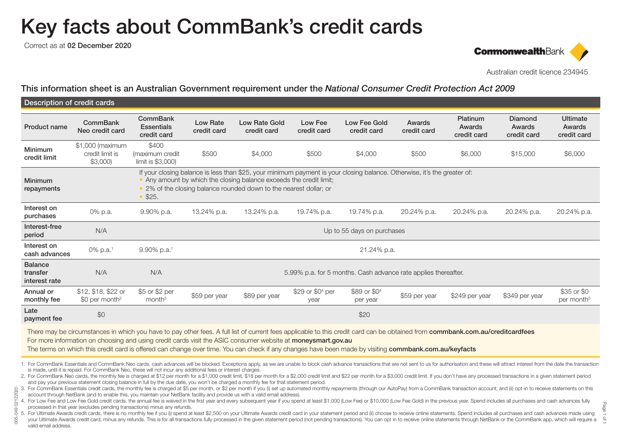# Key facts about CommBank's credit cards

Correct as at 02 December 2020

005-049 02122020

 $\approx$ 



Australian credit licence 234945

Page 1 of 1

This information sheet is an Australian Government requirement under the *National Consumer Credit Protection Act 2009*

| Description of credit cards                 |                                                   |                                                                                                                                                                                                                                                                                  |                                |                                     |                                      |                                      |                       |                                   |                                  |                                          |
|---------------------------------------------|---------------------------------------------------|----------------------------------------------------------------------------------------------------------------------------------------------------------------------------------------------------------------------------------------------------------------------------------|--------------------------------|-------------------------------------|--------------------------------------|--------------------------------------|-----------------------|-----------------------------------|----------------------------------|------------------------------------------|
| Product name                                | <b>CommBank</b><br>Neo credit card                | CommBank<br><b>Essentials</b><br>credit card                                                                                                                                                                                                                                     | <b>Low Rate</b><br>credit card | <b>Low Rate Gold</b><br>credit card | Low Fee<br>credit card               | Low Fee Gold<br>credit card          | Awards<br>credit card | Platinum<br>Awards<br>credit card | Diamond<br>Awards<br>credit card | <b>Ultimate</b><br>Awards<br>credit card |
| <b>Minimum</b><br>credit limit              | \$1,000 (maximum<br>credit limit is<br>$$3,000$ ) | \$400<br>(maximum credit<br>limit is \$3,000)                                                                                                                                                                                                                                    | \$500                          | \$4,000                             | \$500                                | \$4,000                              | \$500                 | \$6,000                           | \$15,000                         | \$6,000                                  |
| Minimum<br>repayments                       |                                                   | If your closing balance is less than \$25, your minimum payment is your closing balance. Otherwise, it's the greater of:<br>• Any amount by which the closing balance exceeds the credit limit;<br>• 2% of the closing balance rounded down to the nearest dollar; or<br>• \$25. |                                |                                     |                                      |                                      |                       |                                   |                                  |                                          |
| Interest on<br>purchases                    | 0% p.a.                                           | 9.90% p.a.                                                                                                                                                                                                                                                                       | 13.24% p.a.                    | 13.24% p.a.                         | 19.74% p.a.                          | 19.74% p.a.                          | 20.24% p.a.           | 20.24% p.a.                       | 20.24% p.a.                      | 20.24% p.a.                              |
| Interest-free<br>period                     | N/A                                               |                                                                                                                                                                                                                                                                                  |                                |                                     |                                      | Up to 55 days on purchases           |                       |                                   |                                  |                                          |
| Interest on<br>cash advances                | 0% p.a. <sup>1</sup>                              | 9.90% p.a.1                                                                                                                                                                                                                                                                      |                                |                                     |                                      | 21.24% p.a.                          |                       |                                   |                                  |                                          |
| <b>Balance</b><br>transfer<br>interest rate | N/A                                               | N/A<br>5.99% p.a. for 5 months. Cash advance rate applies thereafter.                                                                                                                                                                                                            |                                |                                     |                                      |                                      |                       |                                   |                                  |                                          |
| Annual or<br>monthly fee                    | $$12, $18, $22$ or<br>$$0$ per month <sup>2</sup> | \$5 or \$2 per<br>month <sup>3</sup>                                                                                                                                                                                                                                             | \$59 per year                  | \$89 per year                       | \$29 or \$0 <sup>4</sup> per<br>year | \$89 or \$0 <sup>4</sup><br>per year | \$59 per year         | \$249 per year                    | \$349 per year                   | \$35 or \$0<br>per month <sup>5</sup>    |
| Late<br>payment fee                         | \$0                                               |                                                                                                                                                                                                                                                                                  |                                |                                     |                                      | \$20                                 |                       |                                   |                                  |                                          |

There may be circumstances in which you have to pay other fees. A full list of current fees applicable to this credit card can be obtained from commbank.com.au/creditcardfees For more information on choosing and using credit cards visit the ASIC consumer website at moneysmart.gov.au

The terms on which this credit card is offered can change over time. You can check if any changes have been made by visiting commbank.com.au/keyfacts

1. For CommBank Essentials and CommBank Neo cards, cash advances will be blocked. Exceptions apply, as we are unable to block cash advance transactions that are not sent to us for authorisation and these will attract inter is made, until it is repaid. For CommBank Neo, these will not incur any additional fees or interest charges.

2. For CommBank Neo cards, the monthly fee is charged at \$12 per month for a \$1,000 credit limit, \$18 per month for a \$2,000 credit limit and \$22 per month for a \$3,000 credit limit. If you don't have any processed transac and pay your previous statement closing balance in full by the due date, you won't be charged a monthly fee for that statement period.

8 3. For CommBank Essentials credit cards, the monthly fee is charged at \$5 per month, or \$2 per month if you (i) set up automated monthly repayments (through our AutoPay) from a CommBank transaction account; and (ii) optaccount through NetBank (and to enable this, you maintain your NetBank facility and provide us with a valid email address).

4. For Low Fee and Low Fee Gold credit cards, the annual fee is waived in the first year and every subsequent year if you spend at least \$1,000 (Low Fee) or \$10,000 (Low Fee Gold) in the previous year. Spend includes all p processed in that year (excludes pending transactions) minus any refunds.

3 5. For Ultimate Awards credit cards, there is no monthly fee if you (i) spend at least \$2,500 on your Ultimate Awards credit card in your statement period and (ii) choose to receive online statements. Spend includes all

your Ultimate Awards credit card, minus any refunds. This is for all transactions fully processed in the given statement period (not pending transactions). You can opt in to receive online statements through NetBank or the valid email address.